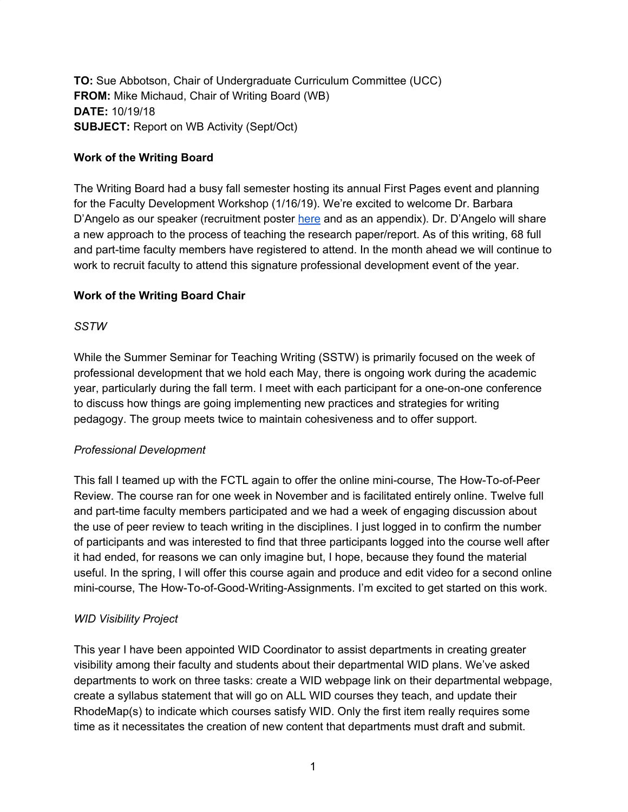**TO:** Sue Abbotson, Chair of Undergraduate Curriculum Committee (UCC) **FROM:** Mike Michaud, Chair of Writing Board (WB) **DATE:** 10/19/18 **SUBJECT:** Report on WB Activity (Sept/Oct)

## **Work of the Writing Board**

The Writing Board had a busy fall semester hosting its annual First Pages event and planning for the Faculty Development Workshop (1/16/19). We're excited to welcome Dr. Barbara D'Angelo as our speaker (recruitment poster [here](https://drive.google.com/file/d/1hpLpazVsKQhFMXbta4-49TeSWtYOpA8D/view?usp=sharing) and as an appendix). Dr. D'Angelo will share a new approach to the process of teaching the research paper/report. As of this writing, 68 full and part-time faculty members have registered to attend. In the month ahead we will continue to work to recruit faculty to attend this signature professional development event of the year.

## **Work of the Writing Board Chair**

## *SSTW*

While the Summer Seminar for Teaching Writing (SSTW) is primarily focused on the week of professional development that we hold each May, there is ongoing work during the academic year, particularly during the fall term. I meet with each participant for a one-on-one conference to discuss how things are going implementing new practices and strategies for writing pedagogy. The group meets twice to maintain cohesiveness and to offer support.

#### *Professional Development*

This fall I teamed up with the FCTL again to offer the online mini-course, The How-To-of-Peer Review. The course ran for one week in November and is facilitated entirely online. Twelve full and part-time faculty members participated and we had a week of engaging discussion about the use of peer review to teach writing in the disciplines. I just logged in to confirm the number of participants and was interested to find that three participants logged into the course well after it had ended, for reasons we can only imagine but, I hope, because they found the material useful. In the spring, I will offer this course again and produce and edit video for a second online mini-course, The How-To-of-Good-Writing-Assignments. I'm excited to get started on this work.

# *WID Visibility Project*

This year I have been appointed WID Coordinator to assist departments in creating greater visibility among their faculty and students about their departmental WID plans. We've asked departments to work on three tasks: create a WID webpage link on their departmental webpage, create a syllabus statement that will go on ALL WID courses they teach, and update their RhodeMap(s) to indicate which courses satisfy WID. Only the first item really requires some time as it necessitates the creation of new content that departments must draft and submit.